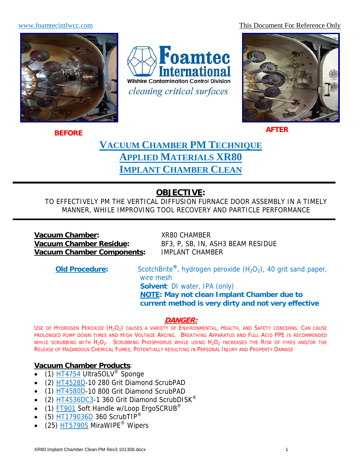www.foamtecintlwcc.com This Document For Reference Only



Foamtec ternational **Wilshire Contamination Control Division** cleaning critical surfaces



**AFTER BEFORE**

# **VACUUM CHAMBER PM TECHNIQUE APPLIED MATERIALS XR80 IMPLANT CHAMBER CLEAN**

## **OBJECTIVE:**

TO EFFECTIVELY PM THE VERTICAL DIFFUSION FURNACE DOOR ASSEMBLY IN A TIMELY MANNER, WHILE IMPROVING TOOL RECOVERY AND PARTICLE PERFORMANCE

**Vacuum Chamber:** XR80 CHAMBER<br> **Vacuum Chamber Residue:** BF3, P, SB, IN, A **Vacuum Chamber Components:** IMPLANT CHAMBER

BF3, P, SB, IN, ASH3 BEAM RESIDUE

**Old Procedure:** ScotchBrite<sup>®</sup>, hydrogen peroxide  $(H_2O_2)$ , 40 grit sand paper, wire mesh **Solvent**: DI water, IPA (only) **NOTE: May not clean Implant Chamber due to current method is very dirty and not very effective**

## **DANGER:**

USE OF HYDROGEN PEROXIDE (H<sub>2</sub>O<sub>2</sub>) CAUSES A VARIETY OF ENVIRONMENTAL, HEALTH, AND SAFETY CONCERNS. CAN CAUSE PROLONGED PUMP DOWN TIMES AND HIGH VOLTAGE ARCING. BREATHING APPARATUS AND FULL ACID PPE IS RECOMMENDED WHILE SCRUBBING WITH H<sub>2</sub>O<sub>2</sub>. SCRUBBING PHOSPHORUS WHILE USING H<sub>2</sub>O<sub>2</sub> INCREASES THE RISK OF FIRES AND/OR THE RELEASE OF HAZARDOUS CHEMICAL FUMES, POTENTIALLY RESULTING IN PERSONAL INJURY AND PROPERTY DAMAGE

## **Vacuum Chamber Products**:

- (1)  $H$ T4754 UltraSOLV<sup>®</sup> Sponge
- (2) HT4528D-10 280 Grit Diamond ScrubPAD
- (1) HT4580D-10 800 Grit Diamond ScrubPAD
- (2)  $\text{HT4536DC3-1}$  360 Grit Diamond ScrubDISK<sup>®</sup>
- $(1)$  FT901 Soft Handle w/Loop ErgoSCRUB<sup>®</sup>
- $\bullet$  (5) HT179036D 360 ScrubTIP<sup>®</sup>
- $(25)$  HT5790S MiraWIPE<sup>®</sup> Wipers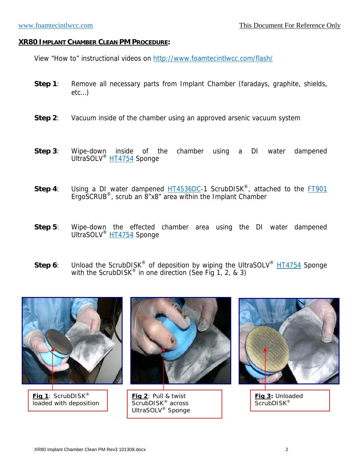#### **XR80 IMPLANT CHAMBER CLEAN PM PROCEDURE:**

View "How to" instructional videos on http://www.foamtecintlwcc.com/flash/

- **Step 1**: Remove all necessary parts from Implant Chamber (faradays, graphite, shields, etc…)
- **Step 2:** Vacuum inside of the chamber using an approved arsenic vacuum system
- **Step 3**: Wipe-down inside of the chamber using a DI water dampened UltraSOLV<sup>®</sup> HT4754 Sponge
- **Step 4**: Using a DI water dampened **HT4536DC**-1 ScrubDISK<sup>®</sup>, attached to the **FT901** ErgoSCRUB®, scrub an 8"x8" area within the Implant Chamber
- **Step 5**: Wipe-down the effected chamber area using the DI water dampened UltraSOLV<sup>®</sup> HT4754 Sponge
- **Step 6**: Unload the ScrubDISK<sup>®</sup> of deposition by wiping the UltraSOLV<sup>®</sup> HT4754 Sponge with the ScrubDISK® in one direction (See Fig 1, 2, & 3)



**Fig 1**: ScrubDISK® loaded with deposition



**Fig 2**: Pull & twist ScrubDISK<sup>®</sup> across UltraSOLV® Sponge

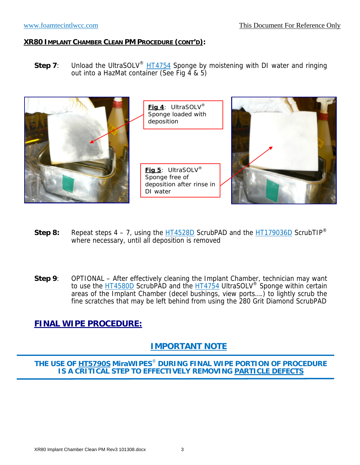**Step 7**: Unload the UltraSOLV<sup>®</sup> HT4754 Sponge by moistening with DI water and ringing out into a HazMat container (See Fig 4 & 5)



- **Step 8:** Repeat steps  $4 7$ , using the  $\frac{HT4528D}{T}$  ScrubPAD and the  $\frac{HT179036D}{T}$  ScrubTIP<sup>®</sup> where necessary, until all deposition is removed
- **Step 9**: OPTIONAL After effectively cleaning the Implant Chamber, technician may want to use the **HT4580D** ScrubPAD and the HT4754 UltraSOLV<sup>®</sup> Sponge within certain areas of the Implant Chamber (decel bushings, view ports….) to lightly scrub the fine scratches that may be left behind from using the 280 Grit Diamond ScrubPAD

## **FINAL WIPE PROCEDURE:**

## **IMPORTANT NOTE**

**THE USE OF HT5790S MiraWIPES**® **DURING FINAL WIPE PORTION OF PROCEDURE IS A CRITICAL STEP TO EFFECTIVELY REMOVING PARTICLE DEFECTS**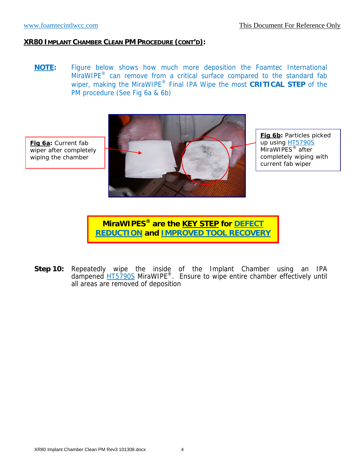**NOTE:** Figure below shows how much more deposition the Foamtec International MiraWIPE<sup>®</sup> can remove from a critical surface compared to the standard fab wiper, making the MiraWIPE® Final IPA Wipe the most **CRITICAL STEP** of the PM procedure (See Fig 6a & 6b)



**Fig 6b:** Particles picked up using HT5790S MiraWIPES<sup>®</sup> after completely wiping with current fab wiper

**MiraWIPES® are the KEY STEP for DEFECT REDUCTION and IMPROVED TOOL RECOVERY**

**Step 10:** Repeatedly wipe the inside of the Implant Chamber using an IPA dampened **HT5790S** MiraWIPE<sup>®</sup>. Ensure to wipe entire chamber effectively until all areas are removed of deposition

**Fig 6a:** Current fab wiper after completely wiping the chamber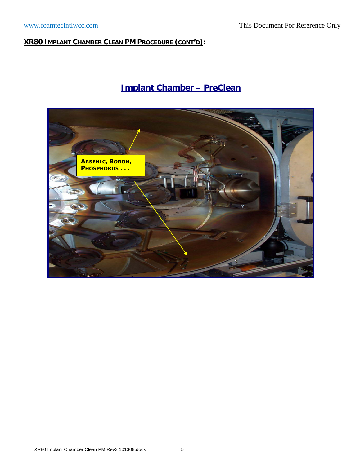# **Implant Chamber – PreClean**

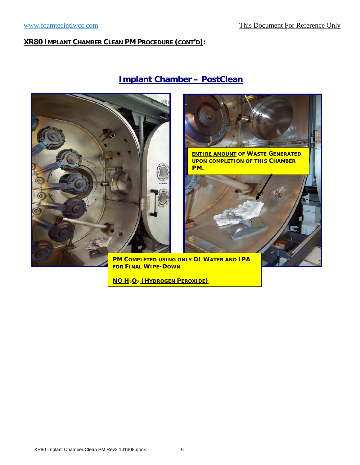

# **Implant Chamber – PostClean**





 **PM COMPLETED USING ONLY DI WATER AND IPA FOR FINAL WIPE-DOWN**

**NO H2O2 (HYDROGEN PEROXIDE)**